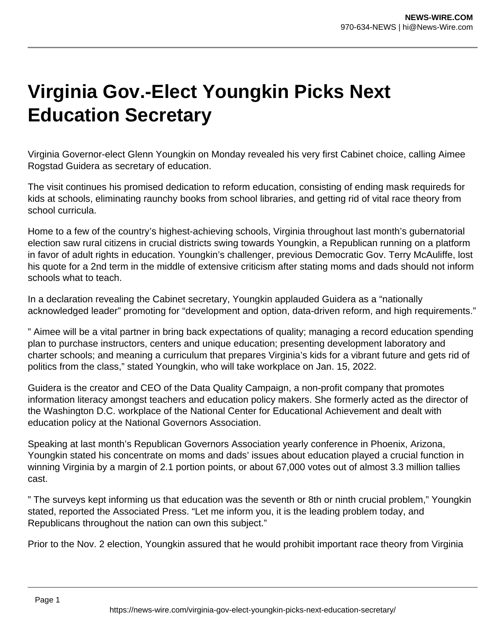## **Virginia Gov.-Elect Youngkin Picks Next Education Secretary**

Virginia Governor-elect Glenn Youngkin on Monday revealed his very first Cabinet choice, calling Aimee Rogstad Guidera as secretary of education.

The visit continues his promised dedication to reform education, consisting of ending mask requireds for kids at schools, eliminating raunchy books from school libraries, and getting rid of vital race theory from school curricula.

Home to a few of the country's highest-achieving schools, Virginia throughout last month's gubernatorial election saw rural citizens in crucial districts swing towards Youngkin, a Republican running on a platform in favor of adult rights in education. Youngkin's challenger, previous Democratic Gov. Terry McAuliffe, lost his quote for a 2nd term in the middle of extensive criticism after stating moms and dads should not inform schools what to teach.

In a declaration revealing the Cabinet secretary, Youngkin applauded Guidera as a "nationally acknowledged leader" promoting for "development and option, data-driven reform, and high requirements."

" Aimee will be a vital partner in bring back expectations of quality; managing a record education spending plan to purchase instructors, centers and unique education; presenting development laboratory and charter schools; and meaning a curriculum that prepares Virginia's kids for a vibrant future and gets rid of politics from the class," stated Youngkin, who will take workplace on Jan. 15, 2022.

Guidera is the creator and CEO of the Data Quality Campaign, a non-profit company that promotes information literacy amongst teachers and education policy makers. She formerly acted as the director of the Washington D.C. workplace of the National Center for Educational Achievement and dealt with education policy at the National Governors Association.

Speaking at last month's Republican Governors Association yearly conference in Phoenix, Arizona, Youngkin stated his concentrate on moms and dads' issues about education played a crucial function in winning Virginia by a margin of 2.1 portion points, or about 67,000 votes out of almost 3.3 million tallies cast.

" The surveys kept informing us that education was the seventh or 8th or ninth crucial problem," Youngkin stated, reported the Associated Press. "Let me inform you, it is the leading problem today, and Republicans throughout the nation can own this subject."

Prior to the Nov. 2 election, Youngkin assured that he would prohibit important race theory from Virginia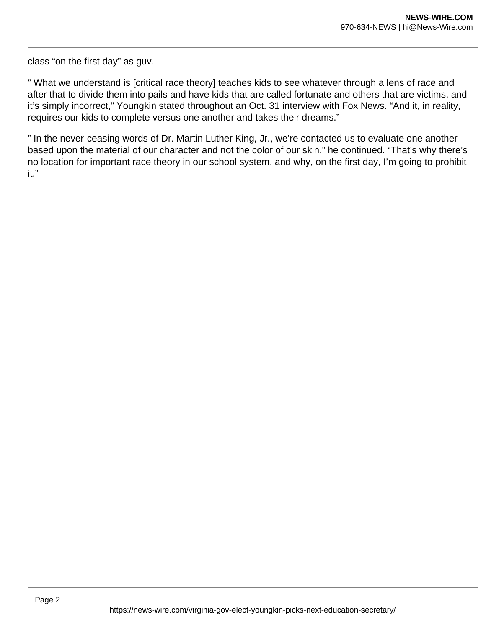class "on the first day" as guv.

" What we understand is [critical race theory] teaches kids to see whatever through a lens of race and after that to divide them into pails and have kids that are called fortunate and others that are victims, and it's simply incorrect," Youngkin stated throughout an Oct. 31 interview with Fox News. "And it, in reality, requires our kids to complete versus one another and takes their dreams."

" In the never-ceasing words of Dr. Martin Luther King, Jr., we're contacted us to evaluate one another based upon the material of our character and not the color of our skin," he continued. "That's why there's no location for important race theory in our school system, and why, on the first day, I'm going to prohibit it."